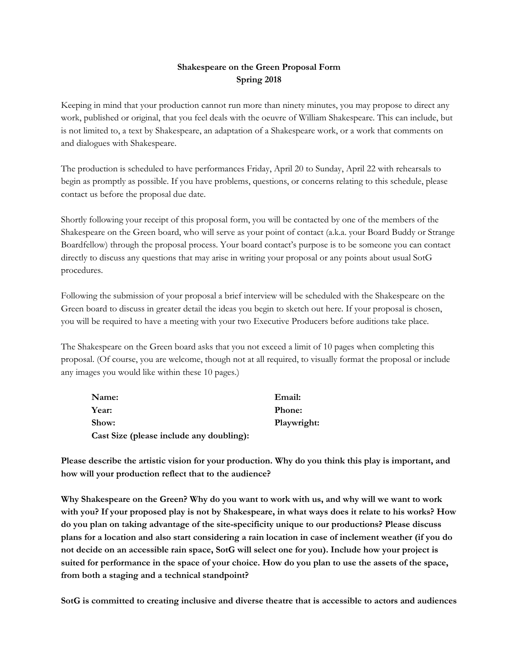## **Shakespeare on the Green Proposal Form Spring 2018**

Keeping in mind that your production cannot run more than ninety minutes, you may propose to direct any work, published or original, that you feel deals with the oeuvre of William Shakespeare. This can include, but is not limited to, a text by Shakespeare, an adaptation of a Shakespeare work, or a work that comments on and dialogues with Shakespeare.

The production is scheduled to have performances Friday, April 20 to Sunday, April 22 with rehearsals to begin as promptly as possible. If you have problems, questions, or concerns relating to this schedule, please contact us before the proposal due date.

Shortly following your receipt of this proposal form, you will be contacted by one of the members of the Shakespeare on the Green board, who will serve as your point of contact (a.k.a. your Board Buddy or Strange Boardfellow) through the proposal process. Your board contact's purpose is to be someone you can contact directly to discuss any questions that may arise in writing your proposal or any points about usual SotG procedures.

Following the submission of your proposal a brief interview will be scheduled with the Shakespeare on the Green board to discuss in greater detail the ideas you begin to sketch out here. If your proposal is chosen, you will be required to have a meeting with your two Executive Producers before auditions take place.

The Shakespeare on the Green board asks that you not exceed a limit of 10 pages when completing this proposal. (Of course, you are welcome, though not at all required, to visually format the proposal or include any images you would like within these 10 pages.)

| Name:                                    | Email:        |
|------------------------------------------|---------------|
| Year:                                    | <b>Phone:</b> |
| Show:                                    | Playwright:   |
| Cast Size (please include any doubling): |               |

**Please describe the artistic vision for your production. Why do you think this play is important, and how will your production reflect that to the audience?**

Why Shakespeare on the Green? Why do you want to work with us, and why will we want to work with you? If your proposed play is not by Shakespeare, in what ways does it relate to his works? How **do you plan on taking advantage of the site-specificity unique to our productions? Please discuss** plans for a location and also start considering a rain location in case of inclement weather (if you do **not decide on an accessible rain space, SotG will select one for you). Include how your project is** suited for performance in the space of your choice. How do you plan to use the assets of the space, **from both a staging and a technical standpoint?**

**SotG is committed to creating inclusive and diverse theatre that is accessible to actors and audiences**